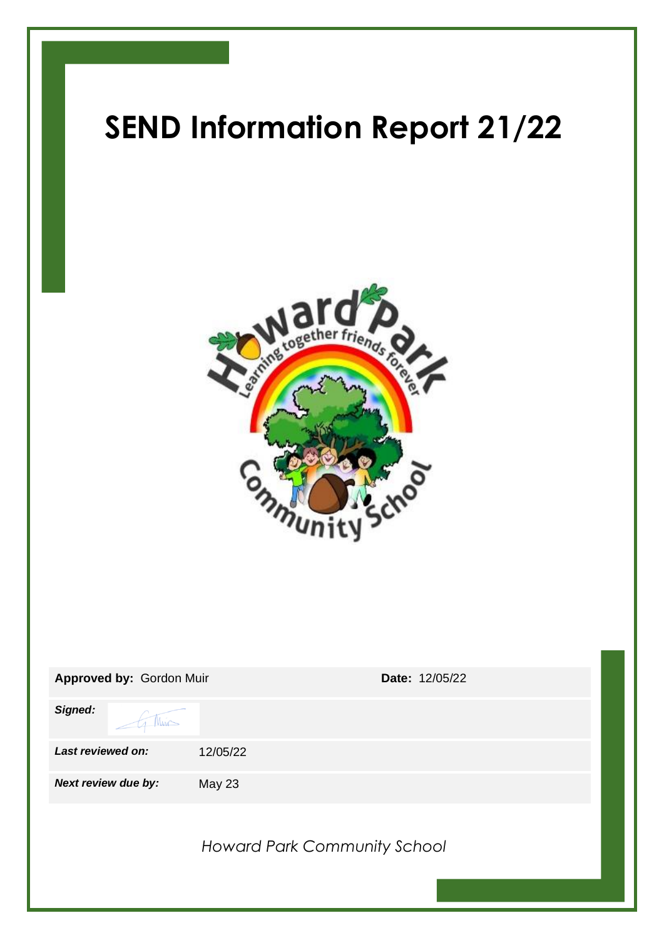# **SEND Information Report 21/22**



| Approved by: Gordon Muir | Date: 12/05/22                      |
|--------------------------|-------------------------------------|
| Signed:<br>Min           |                                     |
| Last reviewed on:        | 12/05/22                            |
| Next review due by:      | <b>May 23</b>                       |
|                          | <b>Howard Park Community School</b> |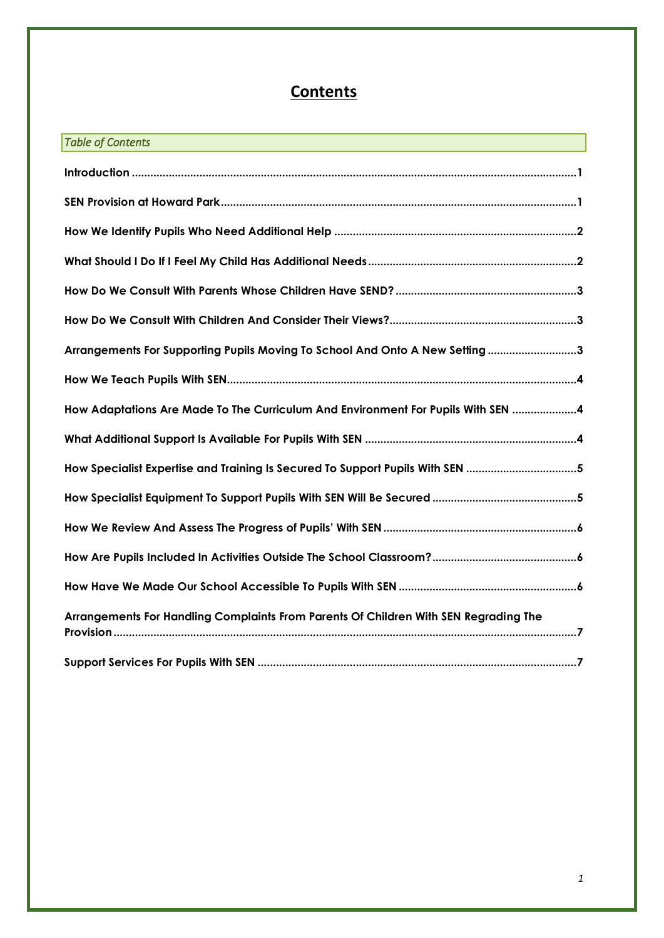# **Contents**

| <b>Table of Contents</b>                                                             |  |  |
|--------------------------------------------------------------------------------------|--|--|
|                                                                                      |  |  |
|                                                                                      |  |  |
|                                                                                      |  |  |
|                                                                                      |  |  |
|                                                                                      |  |  |
|                                                                                      |  |  |
| Arrangements For Supporting Pupils Moving To School And Onto A New Setting3          |  |  |
|                                                                                      |  |  |
| How Adaptations Are Made To The Curriculum And Environment For Pupils With SEN 4     |  |  |
|                                                                                      |  |  |
| How Specialist Expertise and Training Is Secured To Support Pupils With SEN 5        |  |  |
|                                                                                      |  |  |
|                                                                                      |  |  |
|                                                                                      |  |  |
|                                                                                      |  |  |
| Arrangements For Handling Complaints From Parents Of Children With SEN Regrading The |  |  |
|                                                                                      |  |  |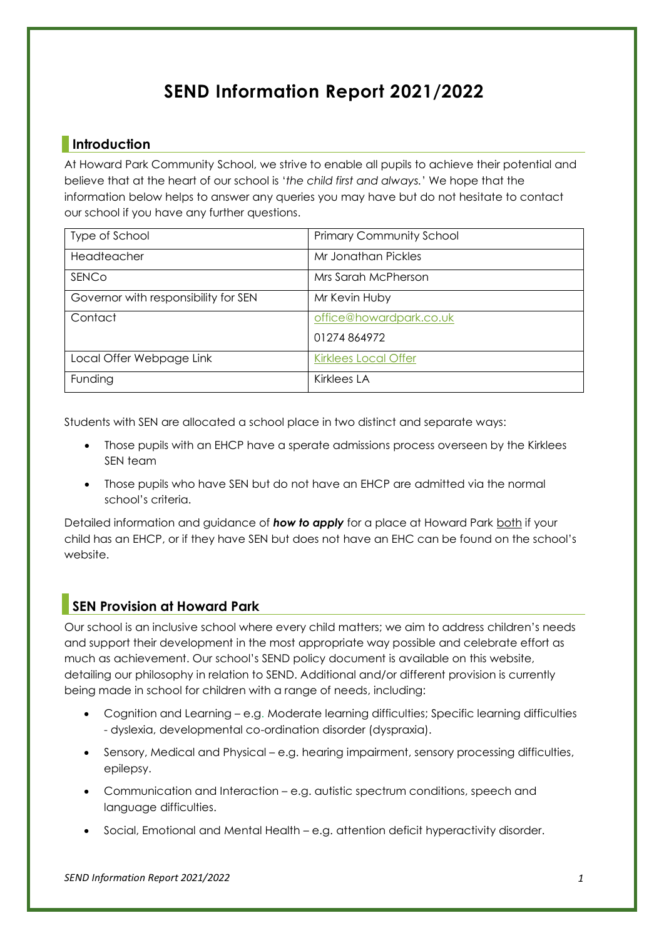# **SEND Information Report 2021/2022**

# <span id="page-2-0"></span>**Introduction**

At Howard Park Community School, we strive to enable all pupils to achieve their potential and believe that at the heart of our school is '*the child first and always.*' We hope that the information below helps to answer any queries you may have but do not hesitate to contact our school if you have any further questions.

| Type of School                       | <b>Primary Community School</b> |
|--------------------------------------|---------------------------------|
| Headteacher                          | Mr Jonathan Pickles             |
| SENCO                                | Mrs Sarah McPherson             |
| Governor with responsibility for SEN | Mr Kevin Huby                   |
| Contact                              | office@howardpark.co.uk         |
|                                      | 01274864972                     |
| Local Offer Webpage Link             | <b>Kirklees Local Offer</b>     |
| Funding                              | <b>Kirklees LA</b>              |

Students with SEN are allocated a school place in two distinct and separate ways:

- Those pupils with an EHCP have a sperate admissions process overseen by the Kirklees SEN team
- Those pupils who have SEN but do not have an EHCP are admitted via the normal school's criteria.

Detailed information and guidance of **how to apply** for a place at Howard Park both if your child has an EHCP, or if they have SEN but does not have an EHC can be found on the school's website.

# <span id="page-2-1"></span>**SEN Provision at Howard Park**

Our school is an inclusive school where every child matters; we aim to address children's needs and support their development in the most appropriate way possible and celebrate effort as much as achievement. Our school's SEND policy document is available on this website, detailing our philosophy in relation to SEND. Additional and/or different provision is currently being made in school for children with a range of needs, including:

- Cognition and Learning e.g. Moderate learning difficulties; Specific learning difficulties - dyslexia, developmental co-ordination disorder (dyspraxia).
- Sensory, Medical and Physical e.g. hearing impairment, sensory processing difficulties, epilepsy.
- Communication and Interaction e.g. autistic spectrum conditions, speech and language difficulties.
- Social, Emotional and Mental Health e.g. attention deficit hyperactivity disorder.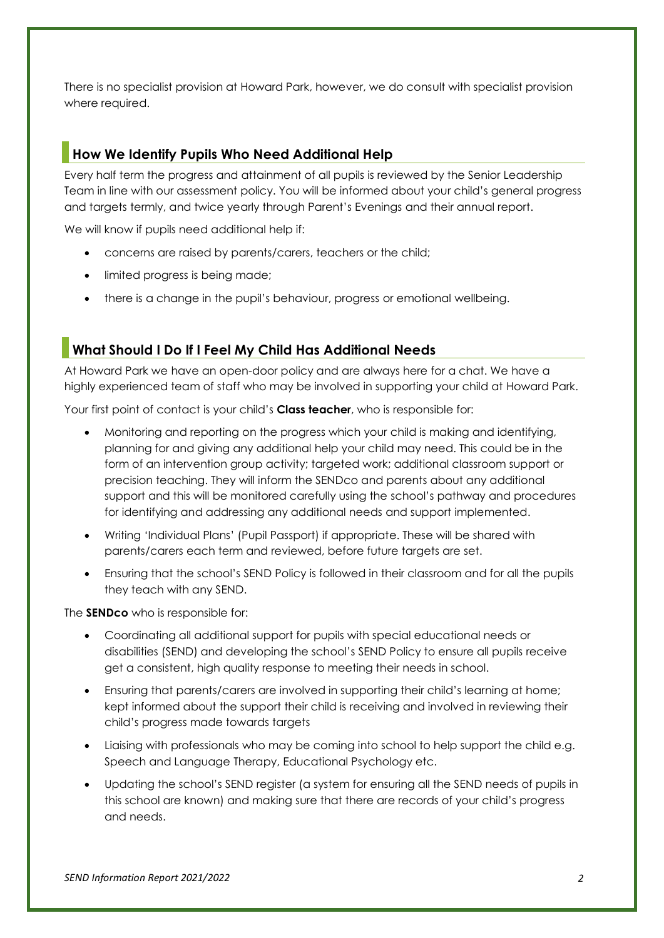There is no specialist provision at Howard Park, however, we do consult with specialist provision where required.

## <span id="page-3-0"></span>**How We Identify Pupils Who Need Additional Help**

Every half term the progress and attainment of all pupils is reviewed by the Senior Leadership Team in line with our assessment policy. You will be informed about your child's general progress and targets termly, and twice yearly through Parent's Evenings and their annual report.

We will know if pupils need additional help if:

- concerns are raised by parents/carers, teachers or the child;
- limited progress is being made;
- there is a change in the pupil's behaviour, progress or emotional wellbeing.

# <span id="page-3-1"></span>**What Should I Do If I Feel My Child Has Additional Needs**

At Howard Park we have an open-door policy and are always here for a chat. We have a highly experienced team of staff who may be involved in supporting your child at Howard Park.

Your first point of contact is your child's **Class teacher**, who is responsible for:

- Monitoring and reporting on the progress which your child is making and identifying, planning for and giving any additional help your child may need. This could be in the form of an intervention group activity; targeted work; additional classroom support or precision teaching. They will inform the SENDco and parents about any additional support and this will be monitored carefully using the school's pathway and procedures for identifying and addressing any additional needs and support implemented.
- Writing 'Individual Plans' (Pupil Passport) if appropriate. These will be shared with parents/carers each term and reviewed, before future targets are set.
- Ensuring that the school's SEND Policy is followed in their classroom and for all the pupils they teach with any SEND.

The **SENDco** who is responsible for:

- Coordinating all additional support for pupils with special educational needs or disabilities (SEND) and developing the school's SEND Policy to ensure all pupils receive get a consistent, high quality response to meeting their needs in school.
- Ensuring that parents/carers are involved in supporting their child's learning at home; kept informed about the support their child is receiving and involved in reviewing their child's progress made towards targets
- Liaising with professionals who may be coming into school to help support the child e.g. Speech and Language Therapy, Educational Psychology etc.
- Updating the school's SEND register (a system for ensuring all the SEND needs of pupils in this school are known) and making sure that there are records of your child's progress and needs.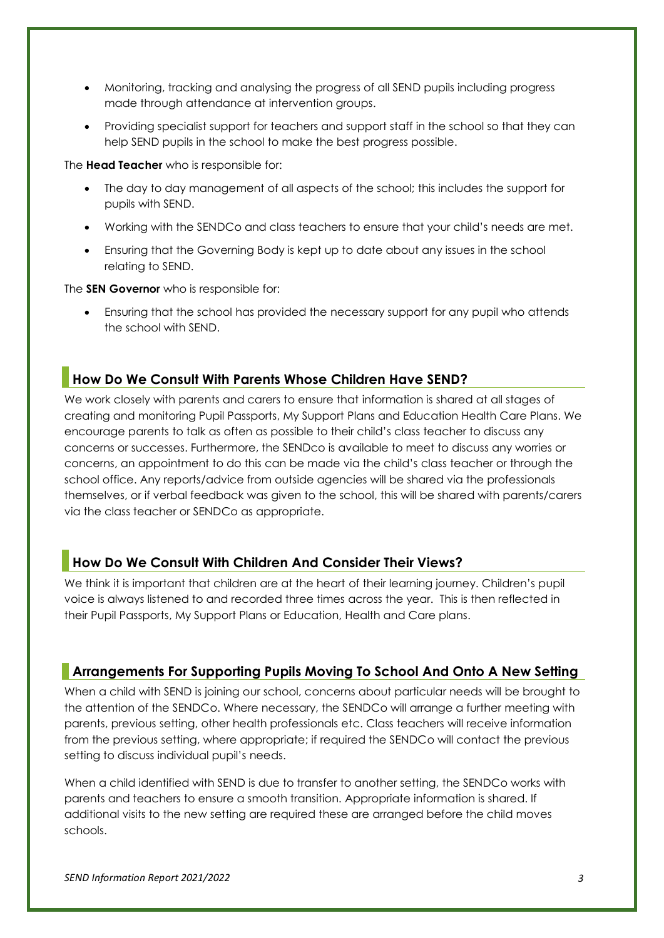- Monitoring, tracking and analysing the progress of all SEND pupils including progress made through attendance at intervention groups.
- Providing specialist support for teachers and support staff in the school so that they can help SEND pupils in the school to make the best progress possible.

The **Head Teacher** who is responsible for:

- The day to day management of all aspects of the school; this includes the support for pupils with SEND.
- Working with the SENDCo and class teachers to ensure that your child's needs are met.
- Ensuring that the Governing Body is kept up to date about any issues in the school relating to SEND.

The **SEN Governor** who is responsible for:

• Ensuring that the school has provided the necessary support for any pupil who attends the school with SEND.

#### <span id="page-4-0"></span>**How Do We Consult With Parents Whose Children Have SEND?**

We work closely with parents and carers to ensure that information is shared at all stages of creating and monitoring Pupil Passports, My Support Plans and Education Health Care Plans. We encourage parents to talk as often as possible to their child's class teacher to discuss any concerns or successes. Furthermore, the SENDco is available to meet to discuss any worries or concerns, an appointment to do this can be made via the child's class teacher or through the school office. Any reports/advice from outside agencies will be shared via the professionals themselves, or if verbal feedback was given to the school, this will be shared with parents/carers via the class teacher or SENDCo as appropriate.

#### <span id="page-4-1"></span>**How Do We Consult With Children And Consider Their Views?**

We think it is important that children are at the heart of their learning journey. Children's pupil voice is always listened to and recorded three times across the year. This is then reflected in their Pupil Passports, My Support Plans or Education, Health and Care plans.

#### <span id="page-4-2"></span>**Arrangements For Supporting Pupils Moving To School And Onto A New Setting**

When a child with SEND is joining our school, concerns about particular needs will be brought to the attention of the SENDCo. Where necessary, the SENDCo will arrange a further meeting with parents, previous setting, other health professionals etc. Class teachers will receive information from the previous setting, where appropriate; if required the SENDCo will contact the previous setting to discuss individual pupil's needs.

When a child identified with SEND is due to transfer to another setting, the SENDCo works with parents and teachers to ensure a smooth transition. Appropriate information is shared. If additional visits to the new setting are required these are arranged before the child moves schools.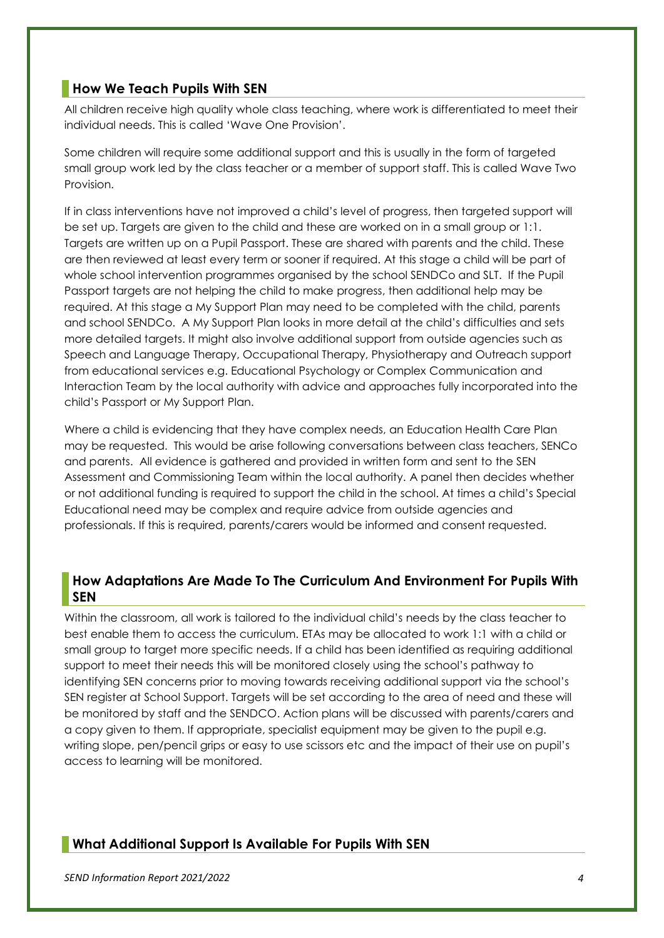#### <span id="page-5-0"></span>**How We Teach Pupils With SEN**

All children receive high quality whole class teaching, where work is differentiated to meet their individual needs. This is called 'Wave One Provision'.

Some children will require some additional support and this is usually in the form of targeted small group work led by the class teacher or a member of support staff. This is called Wave Two Provision.

If in class interventions have not improved a child's level of progress, then targeted support will be set up. Targets are given to the child and these are worked on in a small group or 1:1. Targets are written up on a Pupil Passport. These are shared with parents and the child. These are then reviewed at least every term or sooner if required. At this stage a child will be part of whole school intervention programmes organised by the school SENDCo and SLT. If the Pupil Passport targets are not helping the child to make progress, then additional help may be required. At this stage a My Support Plan may need to be completed with the child, parents and school SENDCo. A My Support Plan looks in more detail at the child's difficulties and sets more detailed targets. It might also involve additional support from outside agencies such as Speech and Language Therapy, Occupational Therapy, Physiotherapy and Outreach support from educational services e.g. Educational Psychology or Complex Communication and Interaction Team by the local authority with advice and approaches fully incorporated into the child's Passport or My Support Plan.

Where a child is evidencing that they have complex needs, an Education Health Care Plan may be requested. This would be arise following conversations between class teachers, SENCo and parents. All evidence is gathered and provided in written form and sent to the SEN Assessment and Commissioning Team within the local authority. A panel then decides whether or not additional funding is required to support the child in the school. At times a child's Special Educational need may be complex and require advice from outside agencies and professionals. If this is required, parents/carers would be informed and consent requested.

#### <span id="page-5-1"></span>**How Adaptations Are Made To The Curriculum And Environment For Pupils With SEN**

Within the classroom, all work is tailored to the individual child's needs by the class teacher to best enable them to access the curriculum. ETAs may be allocated to work 1:1 with a child or small group to target more specific needs. If a child has been identified as requiring additional support to meet their needs this will be monitored closely using the school's pathway to identifying SEN concerns prior to moving towards receiving additional support via the school's SEN register at School Support. Targets will be set according to the area of need and these will be monitored by staff and the SENDCO. Action plans will be discussed with parents/carers and a copy given to them. If appropriate, specialist equipment may be given to the pupil e.g. writing slope, pen/pencil grips or easy to use scissors etc and the impact of their use on pupil's access to learning will be monitored.

# <span id="page-5-2"></span>**What Additional Support Is Available For Pupils With SEN**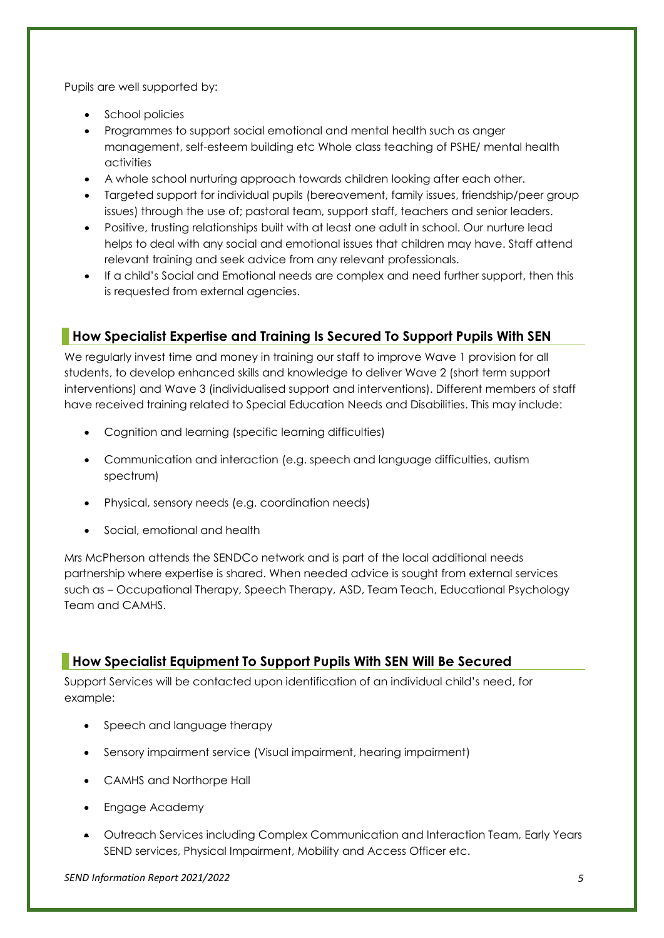Pupils are well supported by:

- School policies
- Programmes to support social emotional and mental health such as anger management, self-esteem building etc Whole class teaching of PSHE/ mental health activities
- A whole school nurturing approach towards children looking after each other.
- Targeted support for individual pupils (bereavement, family issues, friendship/peer group issues) through the use of; pastoral team, support staff, teachers and senior leaders.
- Positive, trusting relationships built with at least one adult in school. Our nurture lead helps to deal with any social and emotional issues that children may have. Staff attend relevant training and seek advice from any relevant professionals.
- If a child's Social and Emotional needs are complex and need further support, then this is requested from external agencies.

# <span id="page-6-0"></span>**How Specialist Expertise and Training Is Secured To Support Pupils With SEN**

We regularly invest time and money in training our staff to improve Wave 1 provision for all students, to develop enhanced skills and knowledge to deliver Wave 2 (short term support interventions) and Wave 3 (individualised support and interventions). Different members of staff have received training related to Special Education Needs and Disabilities. This may include:

- Cognition and learning (specific learning difficulties)
- Communication and interaction (e.g. speech and language difficulties, autism spectrum)
- Physical, sensory needs (e.g. coordination needs)
- Social, emotional and health

Mrs McPherson attends the SENDCo network and is part of the local additional needs partnership where expertise is shared. When needed advice is sought from external services such as – Occupational Therapy, Speech Therapy, ASD, Team Teach, Educational Psychology Team and CAMHS.

# <span id="page-6-1"></span>**How Specialist Equipment To Support Pupils With SEN Will Be Secured**

Support Services will be contacted upon identification of an individual child's need, for example:

- Speech and language therapy
- Sensory impairment service (Visual impairment, hearing impairment)
- CAMHS and Northorpe Hall
- Engage Academy
- Outreach Services including Complex Communication and Interaction Team, Early Years SEND services, Physical Impairment, Mobility and Access Officer etc.

*SEND Information Report 2021/2022 5*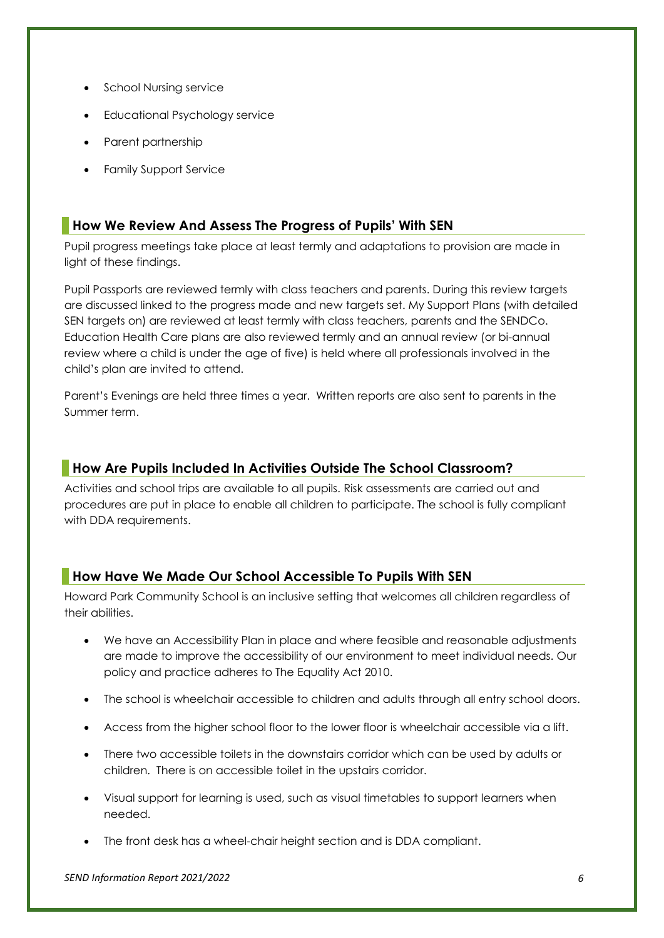- School Nursing service
- Educational Psychology service
- Parent partnership
- Family Support Service

# <span id="page-7-0"></span>**How We Review And Assess The Progress of Pupils' With SEN**

Pupil progress meetings take place at least termly and adaptations to provision are made in light of these findings.

Pupil Passports are reviewed termly with class teachers and parents. During this review targets are discussed linked to the progress made and new targets set. My Support Plans (with detailed SEN targets on) are reviewed at least termly with class teachers, parents and the SENDCo. Education Health Care plans are also reviewed termly and an annual review (or bi-annual review where a child is under the age of five) is held where all professionals involved in the child's plan are invited to attend.

Parent's Evenings are held three times a year. Written reports are also sent to parents in the Summer term.

# <span id="page-7-1"></span>**How Are Pupils Included In Activities Outside The School Classroom?**

Activities and school trips are available to all pupils. Risk assessments are carried out and procedures are put in place to enable all children to participate. The school is fully compliant with DDA requirements.

# <span id="page-7-2"></span>**How Have We Made Our School Accessible To Pupils With SEN**

Howard Park Community School is an inclusive setting that welcomes all children regardless of their abilities.

- We have an Accessibility Plan in place and where feasible and reasonable adjustments are made to improve the accessibility of our environment to meet individual needs. Our policy and practice adheres to The Equality Act 2010.
- The school is wheelchair accessible to children and adults through all entry school doors.
- Access from the higher school floor to the lower floor is wheelchair accessible via a lift.
- There two accessible toilets in the downstairs corridor which can be used by adults or children. There is on accessible toilet in the upstairs corridor.
- Visual support for learning is used, such as visual timetables to support learners when needed.
- The front desk has a wheel-chair height section and is DDA compliant.